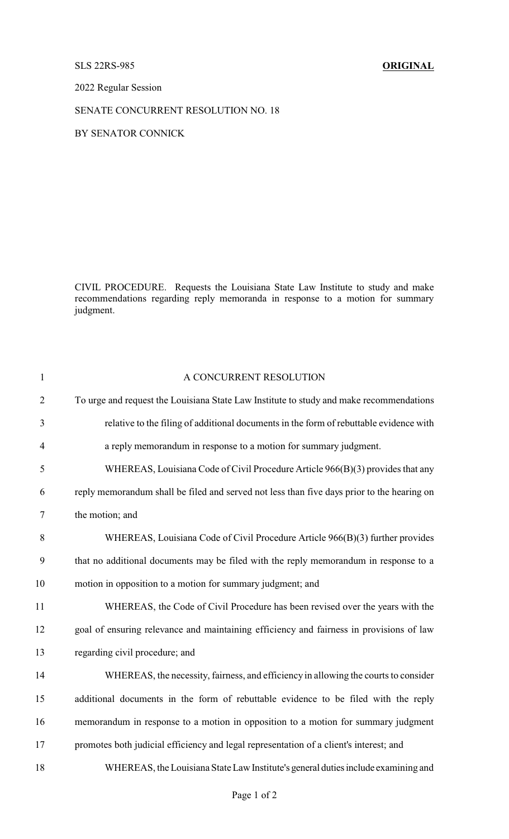## SLS 22RS-985 **ORIGINAL**

2022 Regular Session

SENATE CONCURRENT RESOLUTION NO. 18

BY SENATOR CONNICK

CIVIL PROCEDURE. Requests the Louisiana State Law Institute to study and make recommendations regarding reply memoranda in response to a motion for summary judgment.

| $\mathbf{1}$   | A CONCURRENT RESOLUTION                                                                    |
|----------------|--------------------------------------------------------------------------------------------|
| $\overline{2}$ | To urge and request the Louisiana State Law Institute to study and make recommendations    |
| 3              | relative to the filing of additional documents in the form of rebuttable evidence with     |
| $\overline{4}$ | a reply memorandum in response to a motion for summary judgment.                           |
| 5              | WHEREAS, Louisiana Code of Civil Procedure Article 966(B)(3) provides that any             |
| 6              | reply memorandum shall be filed and served not less than five days prior to the hearing on |
| 7              | the motion; and                                                                            |
| 8              | WHEREAS, Louisiana Code of Civil Procedure Article 966(B)(3) further provides              |
| 9              | that no additional documents may be filed with the reply memorandum in response to a       |
| 10             | motion in opposition to a motion for summary judgment; and                                 |
| 11             | WHEREAS, the Code of Civil Procedure has been revised over the years with the              |
| 12             | goal of ensuring relevance and maintaining efficiency and fairness in provisions of law    |
| 13             | regarding civil procedure; and                                                             |
| 14             | WHEREAS, the necessity, fairness, and efficiency in allowing the courts to consider        |
| 15             | additional documents in the form of rebuttable evidence to be filed with the reply         |
| 16             | memorandum in response to a motion in opposition to a motion for summary judgment          |
| 17             | promotes both judicial efficiency and legal representation of a client's interest; and     |
| 18             | WHEREAS, the Louisiana State Law Institute's general duties include examining and          |
|                |                                                                                            |